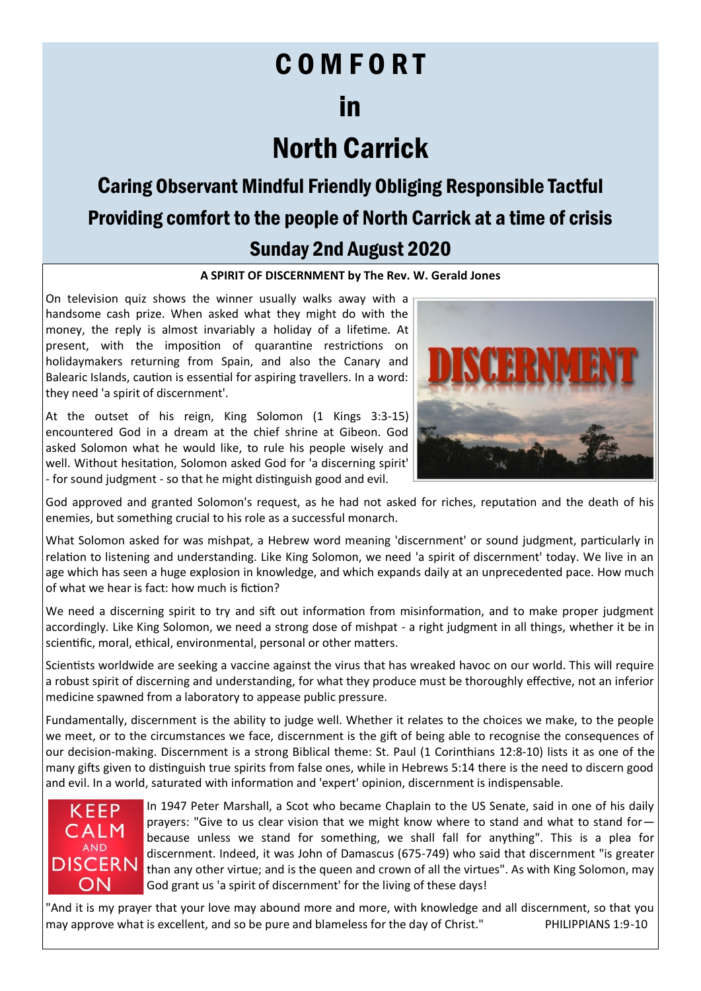## C O M F O R T

## in

# North Carrick

### Caring Observant Mindful Friendly Obliging Responsible Tactful Providing comfort to the people of North Carrick at a time of crisis Sunday 2nd August 2020

#### **A SPIRIT OF DISCERNMENT by The Rev. W. Gerald Jones**

On television quiz shows the winner usually walks away with a handsome cash prize. When asked what they might do with the money, the reply is almost invariably a holiday of a lifetime. At present, with the imposition of quarantine restrictions on holidaymakers returning from Spain, and also the Canary and Balearic Islands, caution is essential for aspiring travellers. In a word: they need 'a spirit of discernment'.

At the outset of his reign, King Solomon (1 Kings 3:3-15) encountered God in a dream at the chief shrine at Gibeon. God asked Solomon what he would like, to rule his people wisely and well. Without hesitation, Solomon asked God for 'a discerning spirit' - for sound judgment - so that he might distinguish good and evil.



God approved and granted Solomon's request, as he had not asked for riches, reputation and the death of his enemies, but something crucial to his role as a successful monarch.

What Solomon asked for was mishpat, a Hebrew word meaning 'discernment' or sound judgment, particularly in relation to listening and understanding. Like King Solomon, we need 'a spirit of discernment' today. We live in an age which has seen a huge explosion in knowledge, and which expands daily at an unprecedented pace. How much of what we hear is fact: how much is fiction?

We need a discerning spirit to try and sift out information from misinformation, and to make proper judgment accordingly. Like King Solomon, we need a strong dose of mishpat - a right judgment in all things, whether it be in scientific, moral, ethical, environmental, personal or other matters.

Scientists worldwide are seeking a vaccine against the virus that has wreaked havoc on our world. This will require a robust spirit of discerning and understanding, for what they produce must be thoroughly effective, not an inferior medicine spawned from a laboratory to appease public pressure.

Fundamentally, discernment is the ability to judge well. Whether it relates to the choices we make, to the people we meet, or to the circumstances we face, discernment is the gift of being able to recognise the consequences of our decision-making. Discernment is a strong Biblical theme: St. Paul (1 Corinthians 12:8-10) lists it as one of the many gifts given to distinguish true spirits from false ones, while in Hebrews 5:14 there is the need to discern good and evil. In a world, saturated with information and 'expert' opinion, discernment is indispensable.



In 1947 Peter Marshall, a Scot who became Chaplain to the US Senate, said in one of his daily prayers: "Give to us clear vision that we might know where to stand and what to stand for because unless we stand for something, we shall fall for anything". This is a plea for discernment. Indeed, it was John of Damascus (675-749) who said that discernment "is greater than any other virtue; and is the queen and crown of all the virtues". As with King Solomon, may God grant us 'a spirit of discernment' for the living of these days!

"And it is my prayer that your love may abound more and more, with knowledge and all discernment, so that you may approve what is excellent, and so be pure and blameless for the day of Christ." PHILIPPIANS 1:9-10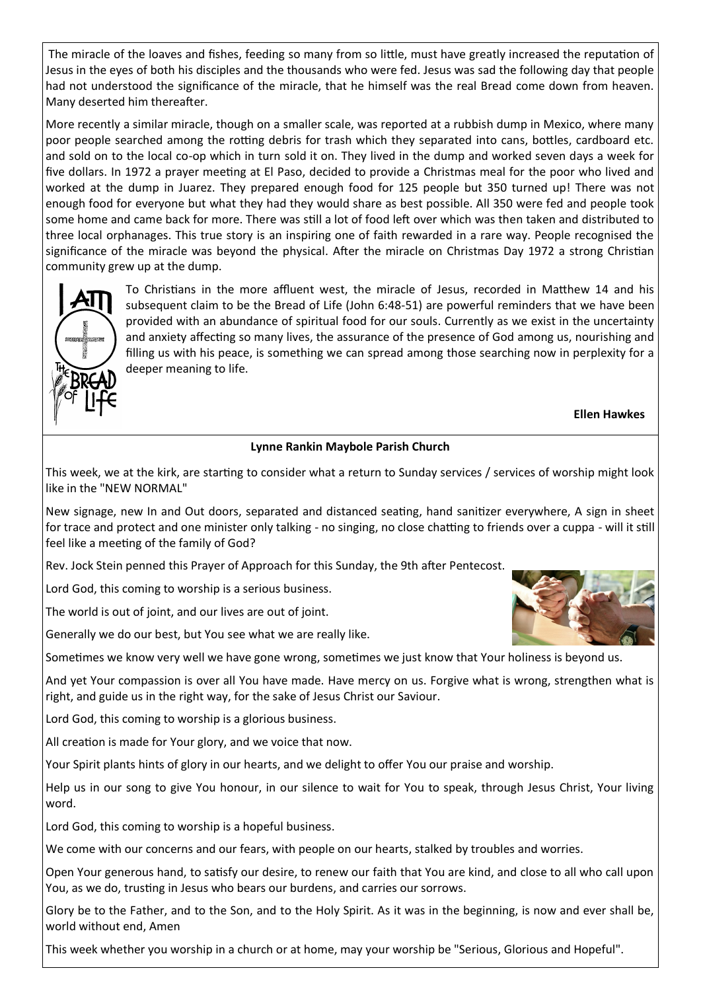The miracle of the loaves and fishes, feeding so many from so little, must have greatly increased the reputation of Jesus in the eyes of both his disciples and the thousands who were fed. Jesus was sad the following day that people had not understood the significance of the miracle, that he himself was the real Bread come down from heaven. Many deserted him thereafter.

More recently a similar miracle, though on a smaller scale, was reported at a rubbish dump in Mexico, where many poor people searched among the rotting debris for trash which they separated into cans, bottles, cardboard etc. and sold on to the local co-op which in turn sold it on. They lived in the dump and worked seven days a week for five dollars. In 1972 a prayer meeting at El Paso, decided to provide a Christmas meal for the poor who lived and worked at the dump in Juarez. They prepared enough food for 125 people but 350 turned up! There was not enough food for everyone but what they had they would share as best possible. All 350 were fed and people took some home and came back for more. There was still a lot of food left over which was then taken and distributed to three local orphanages. This true story is an inspiring one of faith rewarded in a rare way. People recognised the significance of the miracle was beyond the physical. After the miracle on Christmas Day 1972 a strong Christian community grew up at the dump.



To Christians in the more affluent west, the miracle of Jesus, recorded in Matthew 14 and his subsequent claim to be the Bread of Life (John 6:48-51) are powerful reminders that we have been provided with an abundance of spiritual food for our souls. Currently as we exist in the uncertainty and anxiety affecting so many lives, the assurance of the presence of God among us, nourishing and filling us with his peace, is something we can spread among those searching now in perplexity for a deeper meaning to life.

**Ellen Hawkes**

#### **Lynne Rankin Maybole Parish Church**

This week, we at the kirk, are starting to consider what a return to Sunday services / services of worship might look like in the "NEW NORMAL"

New signage, new In and Out doors, separated and distanced seating, hand sanitizer everywhere, A sign in sheet for trace and protect and one minister only talking - no singing, no close chatting to friends over a cuppa - will it still feel like a meeting of the family of God?

Rev. Jock Stein penned this Prayer of Approach for this Sunday, the 9th after Pentecost.

Lord God, this coming to worship is a serious business.

The world is out of joint, and our lives are out of joint.

Generally we do our best, but You see what we are really like.

Sometimes we know very well we have gone wrong, sometimes we just know that Your holiness is beyond us.

And yet Your compassion is over all You have made. Have mercy on us. Forgive what is wrong, strengthen what is right, and guide us in the right way, for the sake of Jesus Christ our Saviour.

Lord God, this coming to worship is a glorious business.

All creation is made for Your glory, and we voice that now.

Your Spirit plants hints of glory in our hearts, and we delight to offer You our praise and worship.

Help us in our song to give You honour, in our silence to wait for You to speak, through Jesus Christ, Your living word.

Lord God, this coming to worship is a hopeful business.

We come with our concerns and our fears, with people on our hearts, stalked by troubles and worries.

Open Your generous hand, to satisfy our desire, to renew our faith that You are kind, and close to all who call upon You, as we do, trusting in Jesus who bears our burdens, and carries our sorrows.

Glory be to the Father, and to the Son, and to the Holy Spirit. As it was in the beginning, is now and ever shall be, world without end, Amen

This week whether you worship in a church or at home, may your worship be "Serious, Glorious and Hopeful".

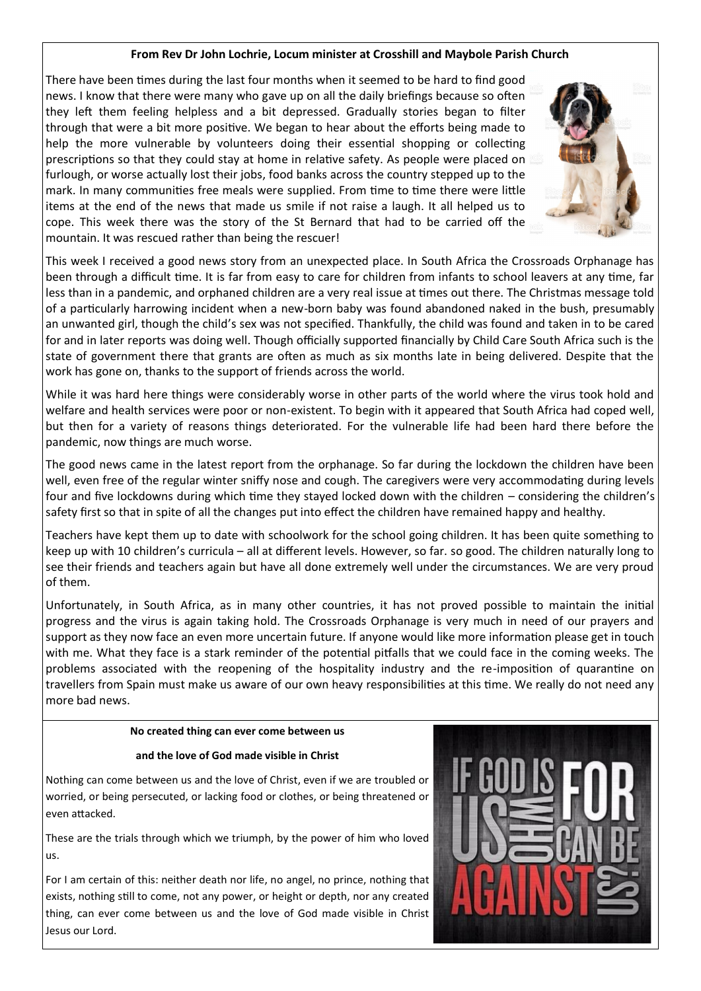#### **From Rev Dr John Lochrie, Locum minister at Crosshill and Maybole Parish Church**

There have been times during the last four months when it seemed to be hard to find good news. I know that there were many who gave up on all the daily briefings because so often they left them feeling helpless and a bit depressed. Gradually stories began to filter through that were a bit more positive. We began to hear about the efforts being made to help the more vulnerable by volunteers doing their essential shopping or collecting prescriptions so that they could stay at home in relative safety. As people were placed on furlough, or worse actually lost their jobs, food banks across the country stepped up to the mark. In many communities free meals were supplied. From time to time there were little items at the end of the news that made us smile if not raise a laugh. It all helped us to cope. This week there was the story of the St Bernard that had to be carried off the mountain. It was rescued rather than being the rescuer!



This week I received a good news story from an unexpected place. In South Africa the Crossroads Orphanage has been through a difficult time. It is far from easy to care for children from infants to school leavers at any time, far less than in a pandemic, and orphaned children are a very real issue at times out there. The Christmas message told of a particularly harrowing incident when a new-born baby was found abandoned naked in the bush, presumably an unwanted girl, though the child's sex was not specified. Thankfully, the child was found and taken in to be cared for and in later reports was doing well. Though officially supported financially by Child Care South Africa such is the state of government there that grants are often as much as six months late in being delivered. Despite that the work has gone on, thanks to the support of friends across the world.

While it was hard here things were considerably worse in other parts of the world where the virus took hold and welfare and health services were poor or non-existent. To begin with it appeared that South Africa had coped well, but then for a variety of reasons things deteriorated. For the vulnerable life had been hard there before the pandemic, now things are much worse.

The good news came in the latest report from the orphanage. So far during the lockdown the children have been well, even free of the regular winter sniffy nose and cough. The caregivers were very accommodating during levels four and five lockdowns during which time they stayed locked down with the children – considering the children's safety first so that in spite of all the changes put into effect the children have remained happy and healthy.

Teachers have kept them up to date with schoolwork for the school going children. It has been quite something to keep up with 10 children's curricula – all at different levels. However, so far. so good. The children naturally long to see their friends and teachers again but have all done extremely well under the circumstances. We are very proud of them.

Unfortunately, in South Africa, as in many other countries, it has not proved possible to maintain the initial progress and the virus is again taking hold. The Crossroads Orphanage is very much in need of our prayers and support as they now face an even more uncertain future. If anyone would like more information please get in touch with me. What they face is a stark reminder of the potential pitfalls that we could face in the coming weeks. The problems associated with the reopening of the hospitality industry and the re-imposition of quarantine on travellers from Spain must make us aware of our own heavy responsibilities at this time. We really do not need any more bad news.

#### **No created thing can ever come between us**

#### **and the love of God made visible in Christ**

Nothing can come between us and the love of Christ, even if we are troubled or worried, or being persecuted, or lacking food or clothes, or being threatened or even attacked.

These are the trials through which we triumph, by the power of him who loved us.

For I am certain of this: neither death nor life, no angel, no prince, nothing that exists, nothing still to come, not any power, or height or depth, nor any created thing, can ever come between us and the love of God made visible in Christ Jesus our Lord.